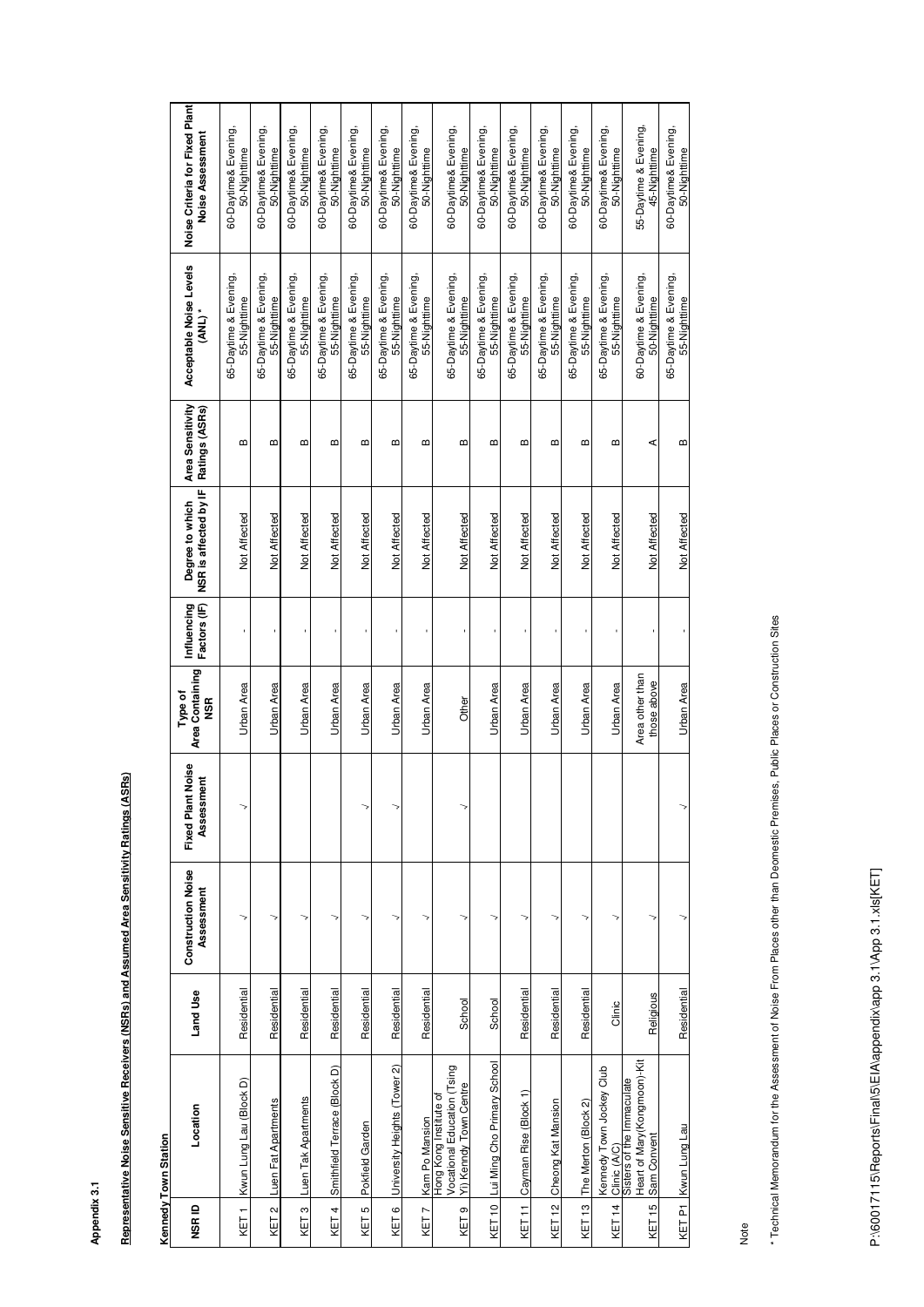**Appendix 3.1**

Representative Noise Sensitive Receivers (NSRs) and Assumed Area Sensitivity Ratings (ASRs) **Representative Noise Sensitive Receivers (NSRs) and Assumed Area Sensitivity Ratings (ASRs)**

### **Kennedy Town Station Kennedy Town Station**

| NSR ID           | Location                                                                        | Land Use    | <b>Construction Noise</b><br>Assessment | <b>Fixed Plant Noise</b><br>Assessment | Area Containing<br>Type of<br><b>NSR</b> | Influencing<br>Factors (IF) | SR is affected by IF<br>Degree to which<br>z | Area Sensitivity<br>Ratings (ASRs) | Acceptable Noise Levels<br>(ANL)      | Noise Criteria for Fixed Plant<br>Noise Assessment |
|------------------|---------------------------------------------------------------------------------|-------------|-----------------------------------------|----------------------------------------|------------------------------------------|-----------------------------|----------------------------------------------|------------------------------------|---------------------------------------|----------------------------------------------------|
| KET <sub>1</sub> | Kwun Lung Lau (Block D                                                          | Residential |                                         |                                        | Urban Area                               |                             | Not Affected                                 | ⋒                                  | 65-Daytime & Evening,<br>55-Nighttime | 60-Daytime& Evening,<br>50-Nighttime               |
| KET <sub>2</sub> | Luen Fat Apartments                                                             | Residential |                                         |                                        | <u>Urban Area</u>                        |                             | Not Affected                                 | ≃                                  | 65-Daytime & Evening,<br>55-Nighttime | 60-Daytime& Evening,<br>50-Nighttime               |
| KET <sub>3</sub> | Luen Tak Apartments                                                             | Residential |                                         |                                        | Urban Area                               |                             | Not Affected                                 | ≃                                  | 65-Daytime & Evening,<br>55-Nighttime | 60-Daytime& Evening,<br>50-Nighttime               |
| KET 4            | Smithfield Terrace (Block D)                                                    | Residential |                                         |                                        | <b>Urban Area</b>                        |                             | Not Affected                                 | ≃                                  | 65-Daytime & Evening,<br>55-Nighttime | 60-Daytime& Evening,<br>50-Nighttime               |
| KET <sub>5</sub> | Pokfield Garden                                                                 | Residential |                                         |                                        | Urban Area                               |                             | Not Affected                                 | $\boldsymbol{\underline{\omega}}$  | 65-Daytime & Evening,<br>55-Nighttime | 60-Daytime& Evening,<br>50-Nighttime               |
| KET6             | University Heights (Tower 2)                                                    | Residential |                                         |                                        | <b>Urban Area</b>                        |                             | Not Affected                                 | m                                  | 65-Daytime & Evening,<br>55-Nighttime | 60-Daytime& Evening,<br>50-Nighttime               |
| KET7             | Kam Po Mansion                                                                  | Residential |                                         |                                        | Urban Area                               |                             | Not Affected                                 | m                                  | 65-Daytime & Evening,<br>55-Nighttime | 60-Daytime& Evening,<br>50-Nighttime               |
| KET <sub>9</sub> | Vocational Education (Tsing<br>Yi) Kenndy Town Centre<br>Hong Kong Institute of | School      |                                         |                                        | Other                                    |                             | Not Affected                                 | $\boldsymbol{\omega}$              | 65-Daytime & Evening,<br>55-Nighttime | 60-Daytime& Evening,<br>50-Nighttime               |
| KET 10           | Lui Ming Cho Primary School                                                     | School      |                                         |                                        | Urban Area                               |                             | Not Affected                                 | m                                  | 65-Daytime & Evening,<br>55-Nighttime | 60-Daytime& Evening,<br>50-Nighttime               |
| KET 11           | Cayman Rise (Block 1)                                                           | Residential |                                         |                                        | Urban Area                               |                             | Not Affected                                 | മ                                  | 65-Daytime & Evening,<br>55-Nighttime | 60-Daytime& Evening,<br>50-Nighttime               |
| KET 12           | Cheong Kat Mansion                                                              | Residential | 7                                       |                                        | Urban Area                               |                             | Not Affected                                 | ≃                                  | 65-Daytime & Evening,<br>55-Nighttime | 60-Daytime& Evening,<br>50-Nighttime               |
| <b>KET13</b>     | The Merton (Block 2)                                                            | Residential |                                         |                                        | Urban Area                               |                             | Not Affected                                 | ≃                                  | 65-Daytime & Evening,<br>55-Nighttime | 60-Daytime& Evening,<br>50-Nighttime               |
| KET 14           | Kennedy Town Jockey Club<br>Clinic (A/C)                                        | Clinic      |                                         |                                        | <b>Urban Area</b>                        |                             | Not Affected                                 | $\boldsymbol{\omega}$              | 65-Daytime & Evening,<br>55-Nighttime | 60-Daytime& Evening,<br>50-Nighttime               |
| KET 15           | Heart of Mary (Kongmoon)-Kit<br>Sisters of the Immaculate<br>Sam Convent        | Religious   |                                         |                                        | Area other than<br>those above           |                             | Not Affected                                 | ⋖                                  | 60-Daytime & Evening,<br>50-Nighttime | 55-Daytime & Evening,<br>45-Nighttime              |
| KET P1           | Kwun Lung Lau                                                                   | Residential |                                         |                                        | <b>Urban Area</b>                        |                             | Not Affected                                 | $\Omega$                           | 65-Daytime & Evening,<br>55-Nighttime | 60-Daytime& Evening,<br>50-Nighttime               |

\* Technical Memorandum for the Assessment of Noise From Places other than Deomestic Premises, Public Places or Construction Sites \* Technical Memorandum for the Assessment of Noise From Places other than Deomestic Premises, Public Places or Construction Sites

Note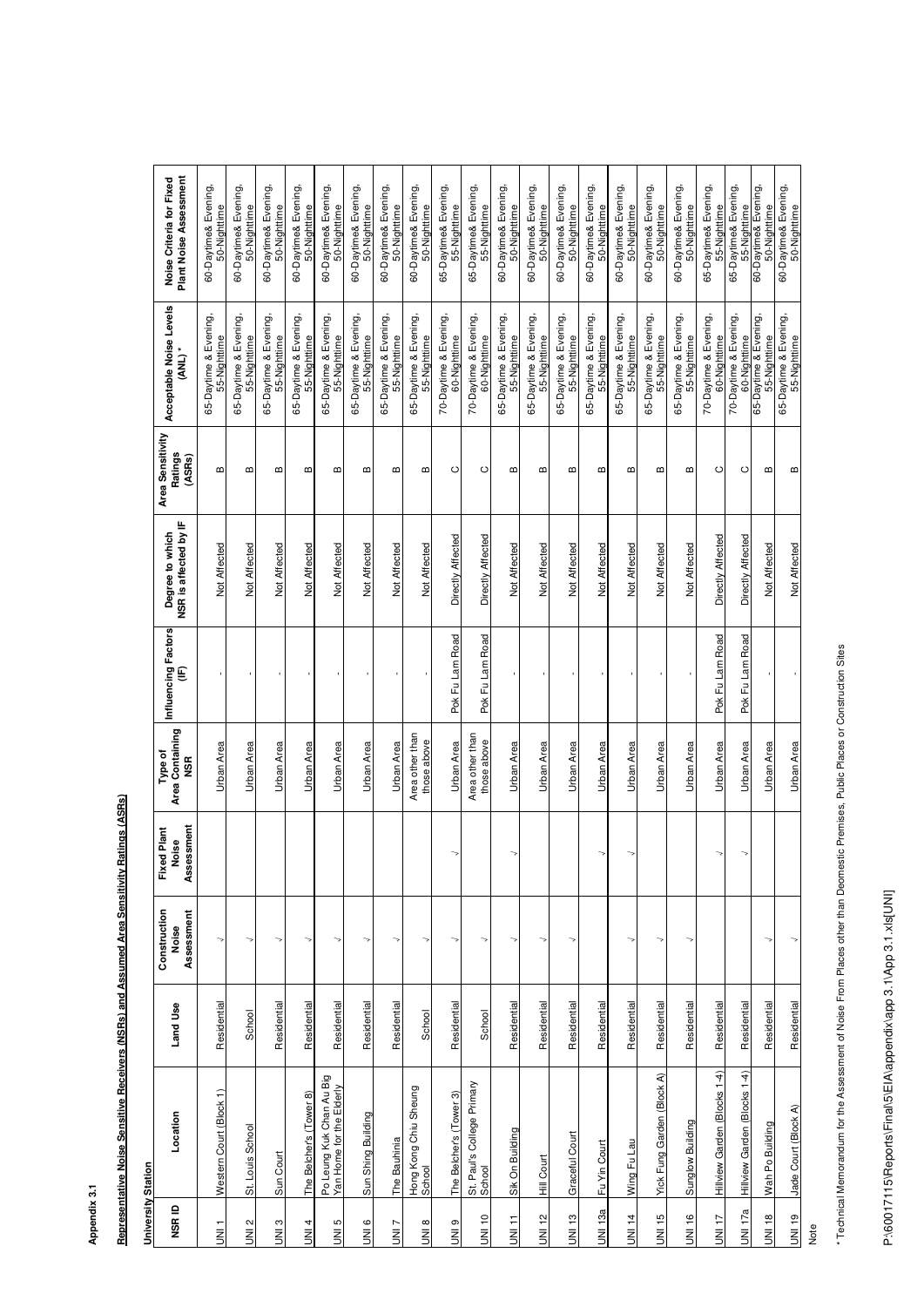## **Appendix 3.1**

| ֖֖֖֚֚֚֚֚֚֚֚֚֚֡֬֝         |  |
|--------------------------|--|
|                          |  |
|                          |  |
|                          |  |
|                          |  |
|                          |  |
|                          |  |
|                          |  |
|                          |  |
|                          |  |
|                          |  |
|                          |  |
|                          |  |
|                          |  |
| $\ddot{\phantom{a}}$     |  |
|                          |  |
|                          |  |
|                          |  |
|                          |  |
| $\overline{\phantom{a}}$ |  |
|                          |  |
|                          |  |
|                          |  |
|                          |  |
|                          |  |
|                          |  |
|                          |  |
|                          |  |
|                          |  |
|                          |  |
|                          |  |
|                          |  |
|                          |  |
|                          |  |
|                          |  |
|                          |  |
|                          |  |
|                          |  |
|                          |  |
|                          |  |
|                          |  |
|                          |  |

#### **University Station University Station**

**Assumed Area Sensitivity Ratings (ASRs)** 

| Plant Noise Assessment<br>Noise Criteria for Fixed | 60-Daytime& Evening,<br>50-Nighttime     | 60-Daytime& Evening,<br>50-Nighttime     | 60-Daytime& Evening,<br>50-Nighttime  | 60-Daytime& Evening,<br>50-Nighttime  | 60-Daytime& Evening,<br>50-Nighttime                 | 60-Daytime& Evening,<br>50-Nighttime  | 60-Daytime& Evening,<br>50-Nighttime  | 60-Daytime& Evening,<br>50-Nighttime  | 65-Daytime& Evening,<br>55-Nighttime  | 65-Daytime& Evening,<br>55-Nighttime  | 60-Daytime& Evening,<br>50-Nighttime  | 60-Daytime& Evening,<br>50-Nighttime  | 60-Daytime& Evening,<br>50-Nighttime  | 60-Daytime& Evening,<br>50-Nighttime  | 60-Daytime& Evening,<br>50-Nighttime  | 60-Daytime& Evening,<br>50-Nighttime  | 60-Daytime& Evening,<br>50-Nighttime  | 65-Daytime& Evening,<br>55-Nighttime  | 65-Daytime& Evening,<br>55-Nighttime  | 60-Daytime& Evening,<br>50-Nighttime  | 60-Daytime& Evening,<br>50-Nighttime  |
|----------------------------------------------------|------------------------------------------|------------------------------------------|---------------------------------------|---------------------------------------|------------------------------------------------------|---------------------------------------|---------------------------------------|---------------------------------------|---------------------------------------|---------------------------------------|---------------------------------------|---------------------------------------|---------------------------------------|---------------------------------------|---------------------------------------|---------------------------------------|---------------------------------------|---------------------------------------|---------------------------------------|---------------------------------------|---------------------------------------|
| Acceptable Noise Levels<br>$(ANL)$ *               | Evening,<br>55-Nighttime<br>65-Daytime & | Evening,<br>55-Nighttime<br>65-Daytime & | 65-Daytime & Evening,<br>55-Nighttime | 65-Daytime & Evening,<br>55-Nighttime | 65-Daytime & Evening,<br>55-Nighttime                | 65-Daytime & Evening,<br>55-Nighttime | 65-Daytime & Evening,<br>55-Nighttime | 65-Daytime & Evening,<br>55-Nighttime | 70-Daytime & Evening,<br>60-Nighttime | 70-Daytime & Evening,<br>60-Nighttime | 65-Daytime & Evening,<br>55-Nighttime | 65-Daytime & Evening,<br>55-Nighttime | 65-Daytime & Evening,<br>55-Nighttime | 65-Daytime & Evening,<br>55-Nighttime | 65-Daytime & Evening,<br>55-Nighttime | 65-Daytime & Evening,<br>55-Nighttime | 65-Daytime & Evening,<br>55-Nighttime | 70-Daytime & Evening,<br>60-Nighttime | 70-Daytime & Evening,<br>60-Nighttime | 65-Daytime & Evening,<br>55-Nighttime | 65-Daytime & Evening,<br>55-Nighttime |
| Area Sensitivity<br>Ratings<br>(ASRs)              | m                                        | ⋒                                        | m                                     | М                                     | ⋒                                                    | М                                     | ⋒                                     | m                                     | $\circ$                               | $\circ$                               | m                                     | Ф                                     | m                                     | m                                     | m                                     | m                                     | m                                     | $\circ$                               | $\circ$                               | m                                     | m                                     |
| NSR is affected by IF<br>Degree to which           | Not Affected                             | Not Affected                             | Not Affected                          | Not Affected                          | Not Affected                                         | Not Affected                          | Not Affected                          | Not Affected                          | Directly Affected                     | Directly Affected                     | Not Affected                          | Not Affected                          | Not Affected                          | Not Affected                          | Not Affected                          | Not Affected                          | Not Affected                          | Directly Affected                     | Directly Affected                     | Not Affected                          | Not Affected                          |
| Influencing Factors<br>€                           |                                          |                                          |                                       |                                       |                                                      |                                       |                                       |                                       | Road<br>Pok Fu Lam                    | Road<br>Pok Fu Lam                    |                                       |                                       |                                       |                                       |                                       |                                       |                                       | Road<br>Pok Fu Lam                    | Road<br>Pok Fu Lam                    |                                       |                                       |
| Area Containing<br>Type of<br><b>NSR</b>           | Urban Area                               | Urban Area                               | Urban Area                            | <b>Urban Area</b>                     | Urban Area                                           | Urban Area                            | <b>Urban Area</b>                     | Area other than<br>those above        | <b>Urban Area</b>                     | Area other than<br>those above        | <b>Urban Area</b>                     | Urban Area                            | Urban Area                            | Urban Area                            | <b>Urban Area</b>                     | <b>Urban Area</b>                     | Urban Area                            | Urban Area                            | Urban Area                            | <b>Urban Area</b>                     | <b>Urban Area</b>                     |
| Assessment<br><b>Fixed Plant</b><br>Noise          |                                          |                                          |                                       |                                       |                                                      |                                       |                                       |                                       |                                       |                                       |                                       |                                       |                                       |                                       | ↘                                     |                                       |                                       |                                       |                                       |                                       |                                       |
| Construction<br>Assessment<br>Noise                |                                          | ↘                                        |                                       |                                       |                                                      |                                       |                                       |                                       |                                       |                                       |                                       |                                       |                                       |                                       |                                       |                                       |                                       |                                       |                                       |                                       |                                       |
| Land Use                                           | Residential                              | School                                   | Residential                           | Residential                           | Residential                                          | Residential                           | Residential                           | School                                | Residential                           | School                                | Residential                           | Residential                           | Residential                           | Residential                           | Residential                           | Residential                           | Residential                           | Residential                           | Residential                           | Residential                           | Residential                           |
| Location                                           | Court (Block 1)<br>Western               | School<br>St. Louis                      | Sun Court                             | The Belcher's (Tower 8)               | Po Leung Kuk Chan Au Big<br>Yan Home for the Elderly | Sun Shing Building                    | The Bauhinia                          | Hong Kong Chiu Sheung<br>School       | The Belcher's (Tower 3)               | College Primary<br>St. Paul's         | uilding<br>Sik On Bu                  | <b>Hill Court</b>                     | Court<br>Graceful                     | jurt<br>Fu Yin Co                     | Wing Fu Lau                           | Yick Fung Garden (Block A)            | <b>Building</b><br>Sunglow            | Hillview Garden (Blocks 1-4)          | Hillview Garden (Blocks 1-4)          | Wah Po Building                       | Jade Court (Block A)                  |
| NSR ID                                             | <b>TINU</b>                              | UNI <sub>2</sub>                         | UNI <sub>3</sub>                      | UNI <sub>4</sub>                      | UNI <sub>5</sub>                                     | <b>JNI6</b>                           | UNI7                                  | <b>SINID</b>                          | e IMI                                 | <b>UNI10</b>                          | UNI <sub>11</sub>                     | <b>UNI12</b>                          | <b>UNI13</b>                          | <b>UNI 13a</b>                        | <b>UNI14</b>                          | <b>UNI15</b>                          | <b>UNI16</b>                          | UNI <sub>17</sub>                     | <b>UNI 17a</b>                        | <b>UNI18</b>                          | <b>UNI19</b>                          |

\* Technical Memorandum for the Assessment of Noise From Places other than Deomestic Premises, Public Places or Construction Sites \* Technical Memorandum for the Assessment of Noise From Places other than Deomestic Premises, Public Places or Construction Sites

P:\60017115\Reports\Final\5\EIA\appendix\app 3.1\App 3.1.xls[UNI] P:\60017115\Reports\Final\5\EIA\appendix\app 3.1\App 3.1.xls[UNI]

Note